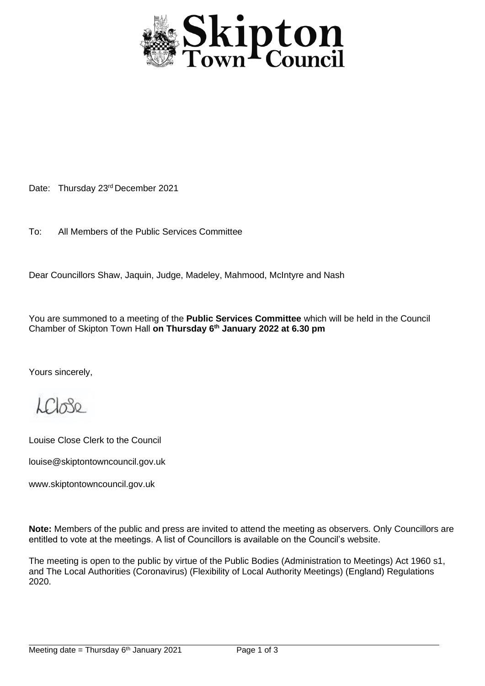

Date: Thursday 23rd December 2021

To: All Members of the Public Services Committee

Dear Councillors Shaw, Jaquin, Judge, Madeley, Mahmood, McIntyre and Nash

You are summoned to a meeting of the **Public Services Committee** which will be held in the Council Chamber of Skipton Town Hall **on Thursday 6 th January 2022 at 6.30 pm**

Yours sincerely,

 $LCl_0$ 80

Louise Close Clerk to the Council

louise@skiptontowncouncil.gov.uk

www.skiptontowncouncil.gov.uk

**Note:** Members of the public and press are invited to attend the meeting as observers. Only Councillors are entitled to vote at the meetings. A list of Councillors is available on the Council's website.

The meeting is open to the public by virtue of the Public Bodies (Administration to Meetings) Act 1960 s1, and The Local Authorities (Coronavirus) (Flexibility of Local Authority Meetings) (England) Regulations 2020.

j.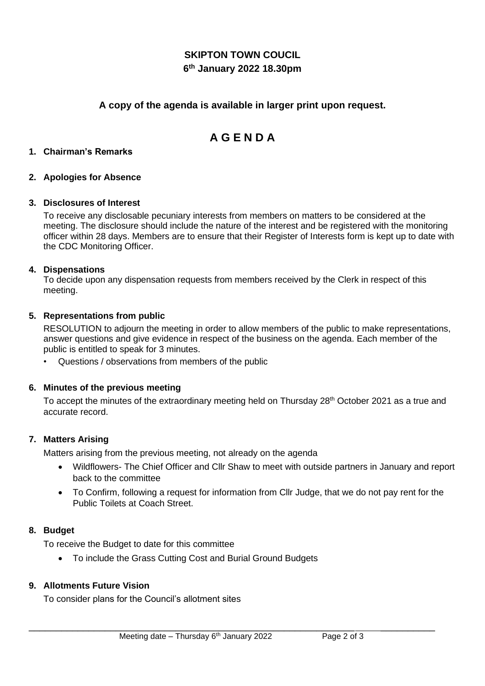## **SKIPTON TOWN COUCIL 6 th January 2022 18.30pm**

## **A copy of the agenda is available in larger print upon request.**

# **A G E N D A**

#### **1. Chairman's Remarks**

#### **2. Apologies for Absence**

#### **3. Disclosures of Interest**

To receive any disclosable pecuniary interests from members on matters to be considered at the meeting. The disclosure should include the nature of the interest and be registered with the monitoring officer within 28 days. Members are to ensure that their Register of Interests form is kept up to date with the CDC Monitoring Officer.

#### **4. Dispensations**

To decide upon any dispensation requests from members received by the Clerk in respect of this meeting.

#### **5. Representations from public**

RESOLUTION to adjourn the meeting in order to allow members of the public to make representations, answer questions and give evidence in respect of the business on the agenda. Each member of the public is entitled to speak for 3 minutes.

• Questions / observations from members of the public

#### **6. Minutes of the previous meeting**

To accept the minutes of the extraordinary meeting held on Thursday 28<sup>th</sup> October 2021 as a true and accurate record.

## **7. Matters Arising**

Matters arising from the previous meeting, not already on the agenda

- Wildflowers- The Chief Officer and Cllr Shaw to meet with outside partners in January and report back to the committee
- To Confirm, following a request for information from Cllr Judge, that we do not pay rent for the Public Toilets at Coach Street.

#### **8. Budget**

To receive the Budget to date for this committee

• To include the Grass Cutting Cost and Burial Ground Budgets

#### **9. Allotments Future Vision**

To consider plans for the Council's allotment sites